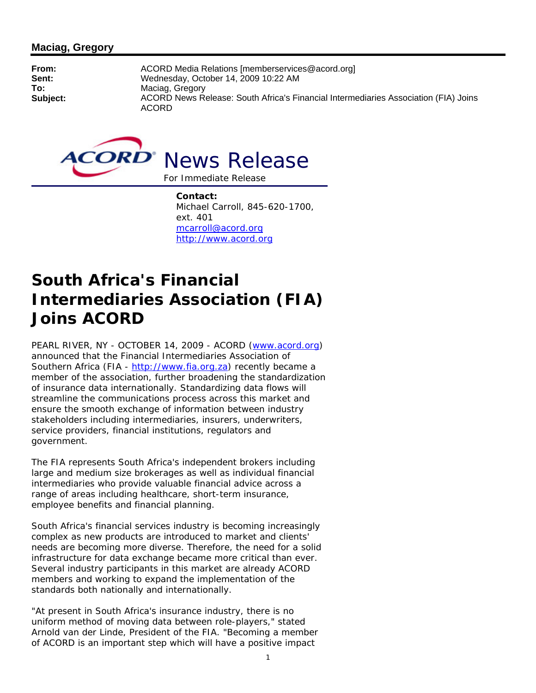## **Maciag, Gregory**

**From:** ACORD Media Relations [memberservices@acord.org] **Sent:** Wednesday, October 14, 2009 10:22 AM<br> **To:** Maciag. Gregory **To:** Maciag, Gregory **Subject:** ACORD News Release: South Africa's Financial Intermediaries Association (FIA) Joins ACORD



**Contact:**  Michael Carroll, 845-620-1700, ext. 401 mcarroll@acord.org http://www.acord.org

## **South Africa's Financial Intermediaries Association (FIA) Joins ACORD**

PEARL RIVER, NY - OCTOBER 14, 2009 - ACORD (www.acord.org) announced that the Financial Intermediaries Association of Southern Africa (FIA - http://www.fia.org.za) recently became a member of the association, further broadening the standardization of insurance data internationally. Standardizing data flows will streamline the communications process across this market and ensure the smooth exchange of information between industry stakeholders including intermediaries, insurers, underwriters, service providers, financial institutions, regulators and government.

The FIA represents South Africa's independent brokers including large and medium size brokerages as well as individual financial intermediaries who provide valuable financial advice across a range of areas including healthcare, short-term insurance, employee benefits and financial planning.

South Africa's financial services industry is becoming increasingly complex as new products are introduced to market and clients' needs are becoming more diverse. Therefore, the need for a solid infrastructure for data exchange became more critical than ever. Several industry participants in this market are already ACORD members and working to expand the implementation of the standards both nationally and internationally.

"At present in South Africa's insurance industry, there is no uniform method of moving data between role-players," stated Arnold van der Linde, President of the FIA. "Becoming a member of ACORD is an important step which will have a positive impact